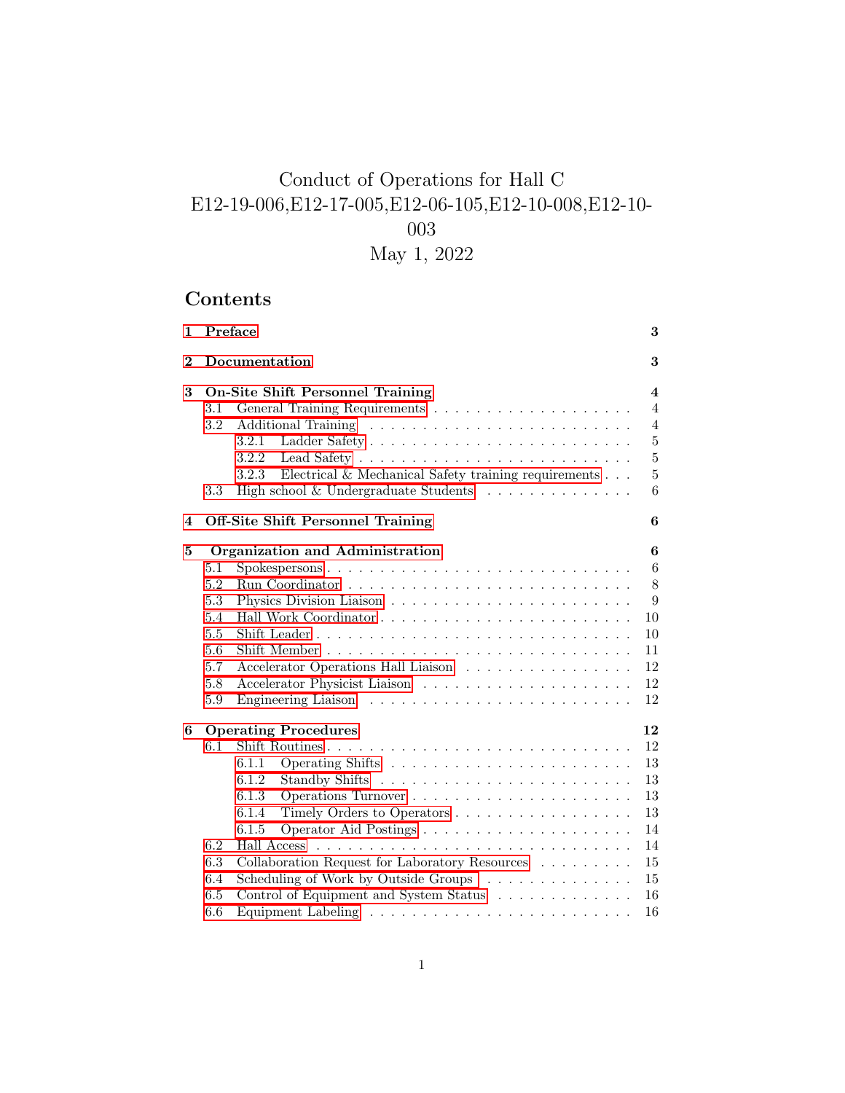# Conduct of Operations for Hall C E12-19-006,E12-17-005,E12-06-105,E12-10-008,E12-10- 003

May 1, 2022

# Contents

| $\mathbf{1}$ |     | Preface                                                                | 3                       |
|--------------|-----|------------------------------------------------------------------------|-------------------------|
| $\bf{2}$     |     | Documentation                                                          | 3                       |
| 3            |     | <b>On-Site Shift Personnel Training</b>                                | $\overline{\mathbf{4}}$ |
|              | 3.1 |                                                                        | $\overline{4}$          |
|              | 3.2 |                                                                        | $\overline{4}$          |
|              |     | 3.2.1                                                                  | $\bf 5$                 |
|              |     | 3.2.2                                                                  | $\overline{5}$          |
|              |     | Electrical & Mechanical Safety training requirements $\ldots$<br>3.2.3 | 5                       |
|              | 3.3 | High school & Undergraduate Students $\ldots \ldots \ldots \ldots$     | 6                       |
| 4            |     | <b>Off-Site Shift Personnel Training</b>                               | 6                       |
| 5            |     | Organization and Administration                                        | $\boldsymbol{6}$        |
|              | 5.1 | Spokespersons                                                          | $6\phantom{.}6$         |
|              | 5.2 |                                                                        | 8                       |
|              | 5.3 |                                                                        | 9                       |
|              | 5.4 |                                                                        | 10                      |
|              | 5.5 |                                                                        | 10                      |
|              | 5.6 |                                                                        | 11                      |
|              | 5.7 | Accelerator Operations Hall Liaison                                    | 12                      |
|              | 5.8 |                                                                        | 12                      |
|              | 5.9 |                                                                        | 12                      |
| 6            |     | <b>Operating Procedures</b>                                            | 12                      |
|              | 6.1 |                                                                        | 12                      |
|              |     | 6.1.1                                                                  | 13                      |
|              |     | 6.1.2                                                                  | $13\,$                  |
|              |     | 6.1.3                                                                  | 13                      |
|              |     | 6.1.4<br>Timely Orders to Operators                                    | 13                      |
|              |     | 6.1.5                                                                  | 14                      |
|              | 6.2 |                                                                        | 14                      |
|              | 6.3 | Collaboration Request for Laboratory Resources                         | 15                      |
|              | 6.4 | Scheduling of Work by Outside Groups                                   | 15                      |
|              | 6.5 | Control of Equipment and System Status                                 | 16                      |
|              | 6.6 |                                                                        | 16                      |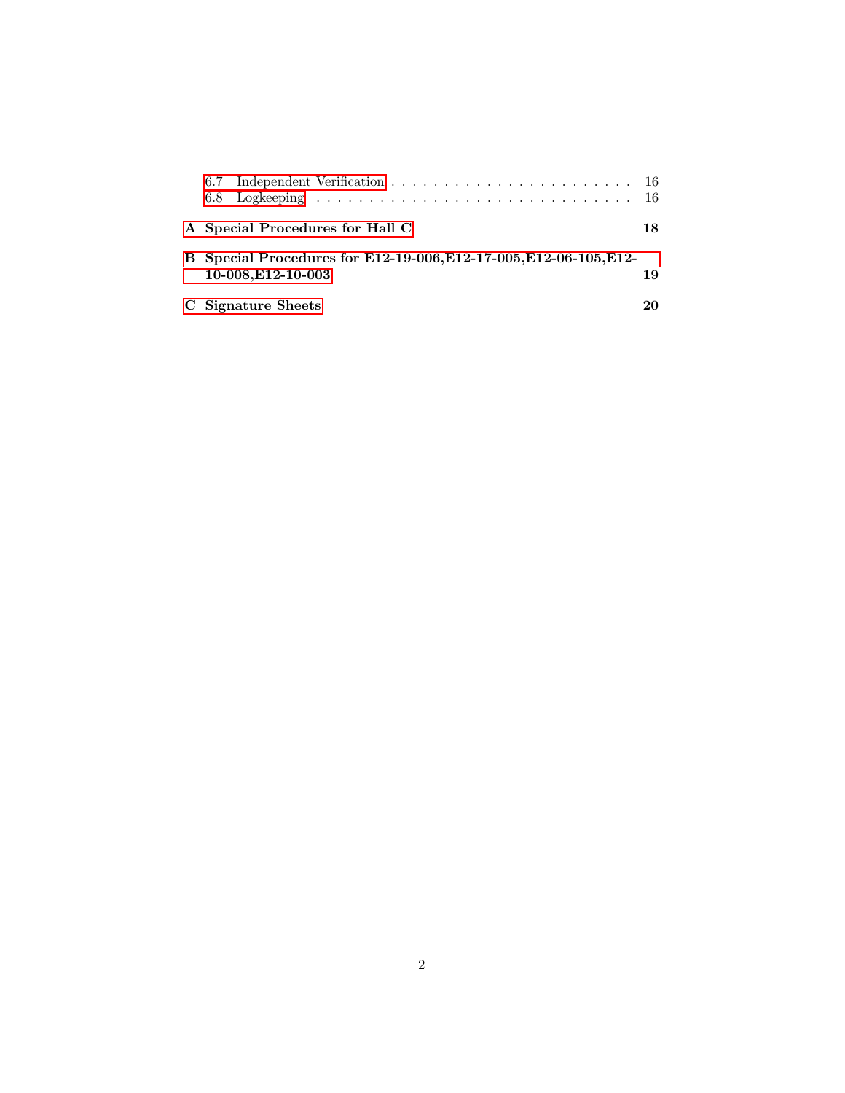| A Special Procedures for Hall C                                                         | 18 |
|-----------------------------------------------------------------------------------------|----|
| B Special Procedures for E12-19-006, E12-17-005, E12-06-105, E12-<br>10-008, E12-10-003 | 19 |
| C Signature Sheets                                                                      |    |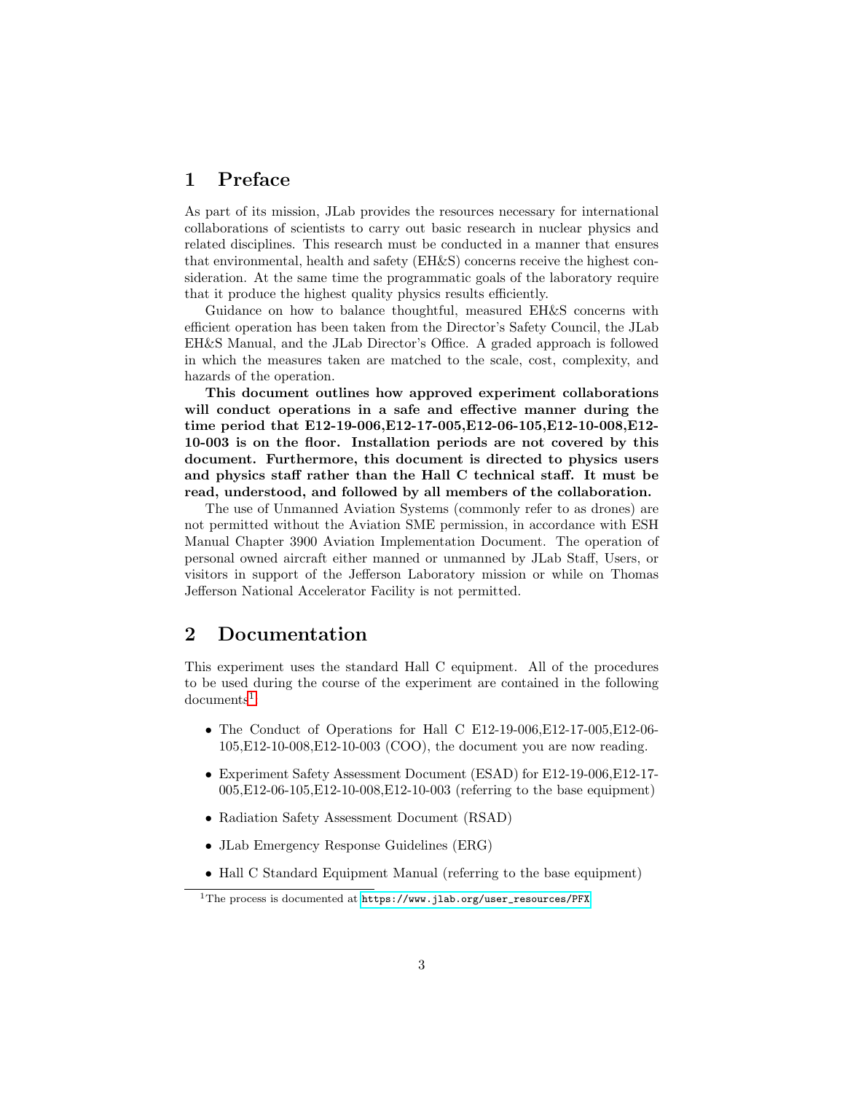# <span id="page-2-0"></span>1 Preface

As part of its mission, JLab provides the resources necessary for international collaborations of scientists to carry out basic research in nuclear physics and related disciplines. This research must be conducted in a manner that ensures that environmental, health and safety (EH&S) concerns receive the highest consideration. At the same time the programmatic goals of the laboratory require that it produce the highest quality physics results efficiently.

Guidance on how to balance thoughtful, measured EH&S concerns with efficient operation has been taken from the Director's Safety Council, the JLab EH&S Manual, and the JLab Director's Office. A graded approach is followed in which the measures taken are matched to the scale, cost, complexity, and hazards of the operation.

This document outlines how approved experiment collaborations will conduct operations in a safe and effective manner during the time period that E12-19-006,E12-17-005,E12-06-105,E12-10-008,E12- 10-003 is on the floor. Installation periods are not covered by this document. Furthermore, this document is directed to physics users and physics staff rather than the Hall C technical staff. It must be read, understood, and followed by all members of the collaboration.

The use of Unmanned Aviation Systems (commonly refer to as drones) are not permitted without the Aviation SME permission, in accordance with ESH Manual Chapter 3900 Aviation Implementation Document. The operation of personal owned aircraft either manned or unmanned by JLab Staff, Users, or visitors in support of the Jefferson Laboratory mission or while on Thomas Jefferson National Accelerator Facility is not permitted.

# <span id="page-2-1"></span>2 Documentation

This experiment uses the standard Hall C equipment. All of the procedures to be used during the course of the experiment are contained in the following  $documents<sup>1</sup>$  $documents<sup>1</sup>$  $documents<sup>1</sup>$ :

- The Conduct of Operations for Hall C E12-19-006,E12-17-005,E12-06- 105,E12-10-008,E12-10-003 (COO), the document you are now reading.
- Experiment Safety Assessment Document (ESAD) for E12-19-006,E12-17- 005,E12-06-105,E12-10-008,E12-10-003 (referring to the base equipment)
- Radiation Safety Assessment Document (RSAD)
- JLab Emergency Response Guidelines (ERG)
- Hall C Standard Equipment Manual (referring to the base equipment)

<span id="page-2-2"></span><sup>&</sup>lt;sup>1</sup>The process is documented at  $https://www.jlab.org/user\_resources/PFX$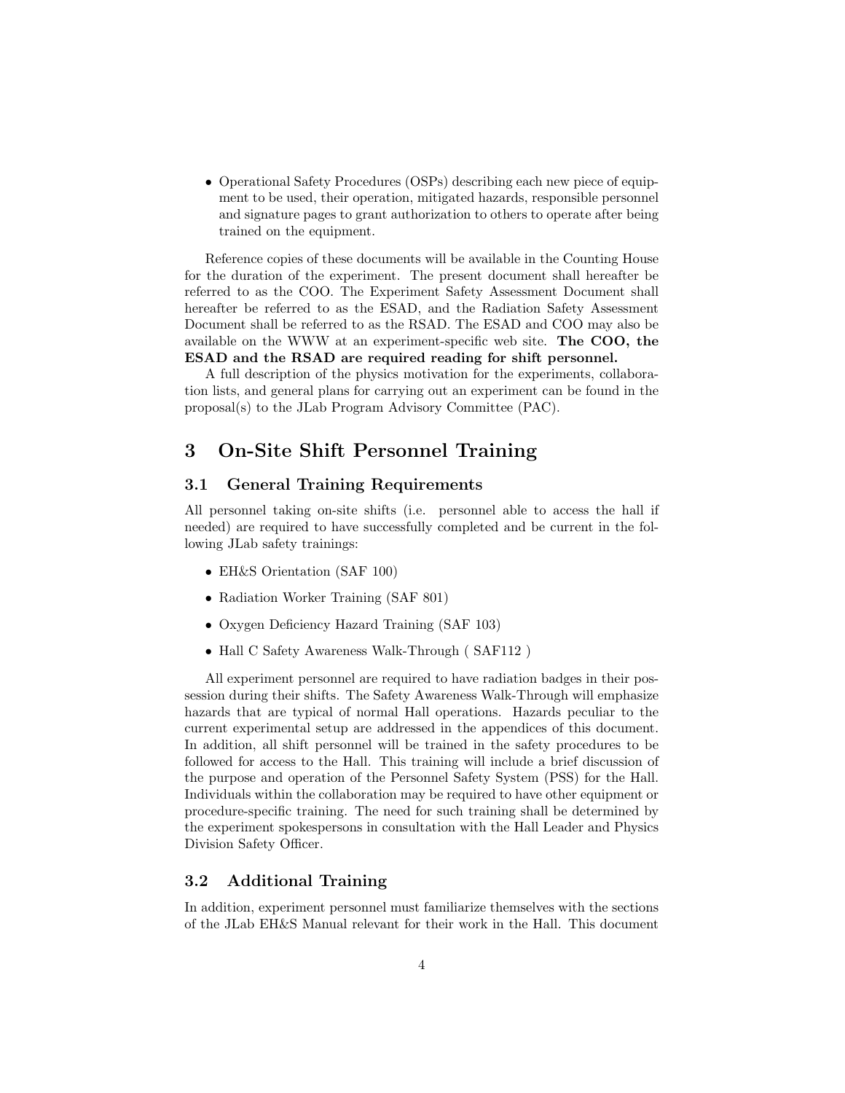• Operational Safety Procedures (OSPs) describing each new piece of equipment to be used, their operation, mitigated hazards, responsible personnel and signature pages to grant authorization to others to operate after being trained on the equipment.

Reference copies of these documents will be available in the Counting House for the duration of the experiment. The present document shall hereafter be referred to as the COO. The Experiment Safety Assessment Document shall hereafter be referred to as the ESAD, and the Radiation Safety Assessment Document shall be referred to as the RSAD. The ESAD and COO may also be available on the WWW at an experiment-specific web site. The COO, the ESAD and the RSAD are required reading for shift personnel.

A full description of the physics motivation for the experiments, collaboration lists, and general plans for carrying out an experiment can be found in the proposal(s) to the JLab Program Advisory Committee (PAC).

# <span id="page-3-0"></span>3 On-Site Shift Personnel Training

### <span id="page-3-1"></span>3.1 General Training Requirements

All personnel taking on-site shifts (i.e. personnel able to access the hall if needed) are required to have successfully completed and be current in the following JLab safety trainings:

- EH&S Orientation (SAF 100)
- Radiation Worker Training (SAF 801)
- Oxygen Deficiency Hazard Training (SAF 103)
- Hall C Safety Awareness Walk-Through ( SAF112 )

All experiment personnel are required to have radiation badges in their possession during their shifts. The Safety Awareness Walk-Through will emphasize hazards that are typical of normal Hall operations. Hazards peculiar to the current experimental setup are addressed in the appendices of this document. In addition, all shift personnel will be trained in the safety procedures to be followed for access to the Hall. This training will include a brief discussion of the purpose and operation of the Personnel Safety System (PSS) for the Hall. Individuals within the collaboration may be required to have other equipment or procedure-specific training. The need for such training shall be determined by the experiment spokespersons in consultation with the Hall Leader and Physics Division Safety Officer.

### <span id="page-3-2"></span>3.2 Additional Training

In addition, experiment personnel must familiarize themselves with the sections of the JLab EH&S Manual relevant for their work in the Hall. This document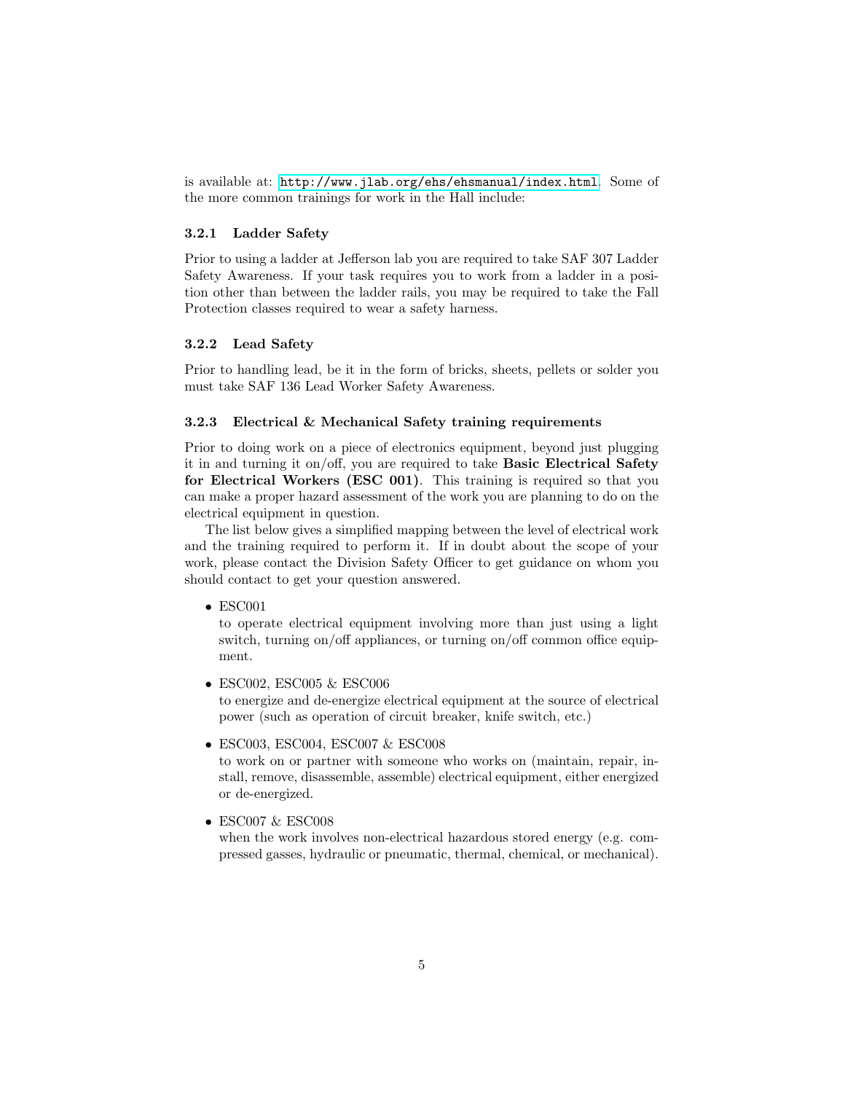is available at: <http://www.jlab.org/ehs/ehsmanual/index.html>. Some of the more common trainings for work in the Hall include:

#### <span id="page-4-0"></span>3.2.1 Ladder Safety

Prior to using a ladder at Jefferson lab you are required to take SAF 307 Ladder Safety Awareness. If your task requires you to work from a ladder in a position other than between the ladder rails, you may be required to take the Fall Protection classes required to wear a safety harness.

#### <span id="page-4-1"></span>3.2.2 Lead Safety

Prior to handling lead, be it in the form of bricks, sheets, pellets or solder you must take SAF 136 Lead Worker Safety Awareness.

#### <span id="page-4-2"></span>3.2.3 Electrical & Mechanical Safety training requirements

Prior to doing work on a piece of electronics equipment, beyond just plugging it in and turning it on/off, you are required to take Basic Electrical Safety for Electrical Workers (ESC 001). This training is required so that you can make a proper hazard assessment of the work you are planning to do on the electrical equipment in question.

The list below gives a simplified mapping between the level of electrical work and the training required to perform it. If in doubt about the scope of your work, please contact the Division Safety Officer to get guidance on whom you should contact to get your question answered.

• ESC001

to operate electrical equipment involving more than just using a light switch, turning on/off appliances, or turning on/off common office equipment.

• ESC002, ESC005 & ESC006

to energize and de-energize electrical equipment at the source of electrical power (such as operation of circuit breaker, knife switch, etc.)

• ESC003, ESC004, ESC007 & ESC008

to work on or partner with someone who works on (maintain, repair, install, remove, disassemble, assemble) electrical equipment, either energized or de-energized.

• ESC007 & ESC008

when the work involves non-electrical hazardous stored energy (e.g. compressed gasses, hydraulic or pneumatic, thermal, chemical, or mechanical).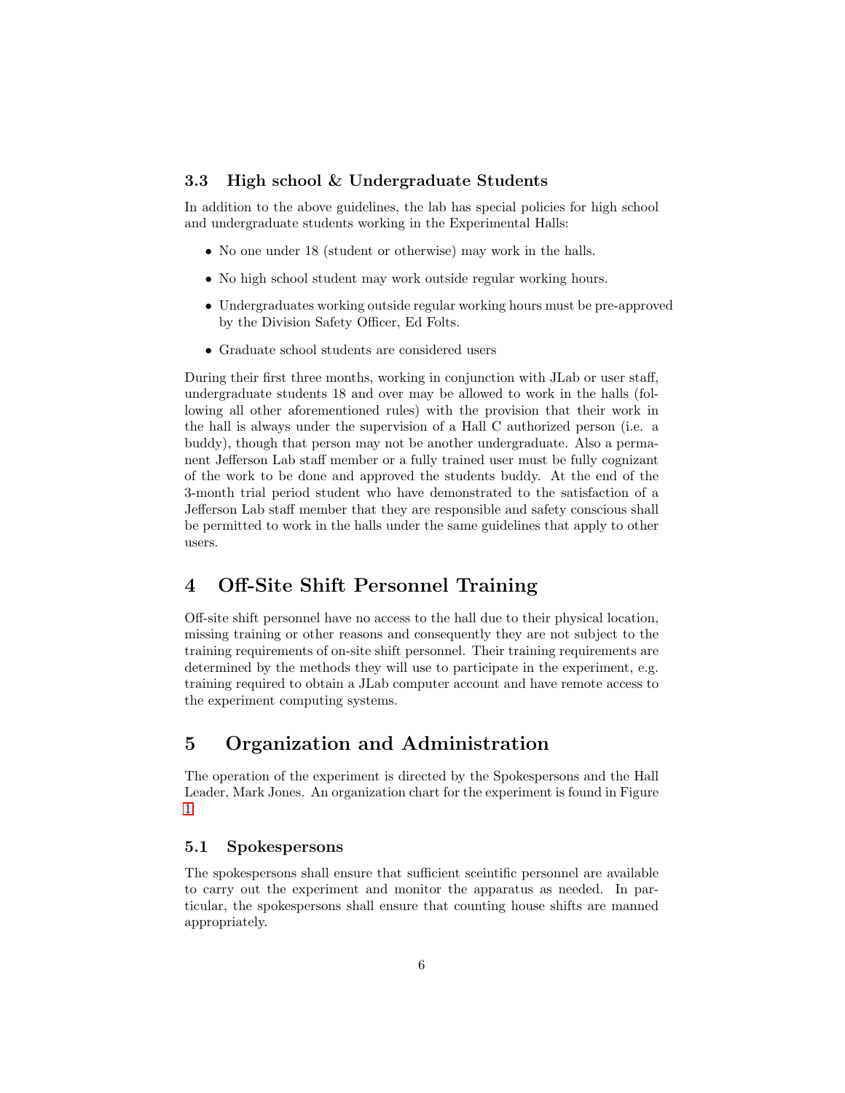#### <span id="page-5-0"></span>3.3 High school & Undergraduate Students

In addition to the above guidelines, the lab has special policies for high school and undergraduate students working in the Experimental Halls:

- No one under 18 (student or otherwise) may work in the halls.
- No high school student may work outside regular working hours.
- Undergraduates working outside regular working hours must be pre-approved by the Division Safety Officer, Ed Folts.
- Graduate school students are considered users

During their first three months, working in conjunction with JLab or user staff, undergraduate students 18 and over may be allowed to work in the halls (following all other aforementioned rules) with the provision that their work in the hall is always under the supervision of a Hall C authorized person (i.e. a buddy), though that person may not be another undergraduate. Also a permanent Jefferson Lab staff member or a fully trained user must be fully cognizant of the work to be done and approved the students buddy. At the end of the 3-month trial period student who have demonstrated to the satisfaction of a Jefferson Lab staff member that they are responsible and safety conscious shall be permitted to work in the halls under the same guidelines that apply to other users.

## <span id="page-5-1"></span>4 Off-Site Shift Personnel Training

Off-site shift personnel have no access to the hall due to their physical location, missing training or other reasons and consequently they are not subject to the training requirements of on-site shift personnel. Their training requirements are determined by the methods they will use to participate in the experiment, e.g. training required to obtain a JLab computer account and have remote access to the experiment computing systems.

# <span id="page-5-2"></span>5 Organization and Administration

The operation of the experiment is directed by the Spokespersons and the Hall Leader, Mark Jones. An organization chart for the experiment is found in Figure [1.](#page-6-0)

### <span id="page-5-3"></span>5.1 Spokespersons

The spokespersons shall ensure that sufficient sceintific personnel are available to carry out the experiment and monitor the apparatus as needed. In particular, the spokespersons shall ensure that counting house shifts are manned appropriately.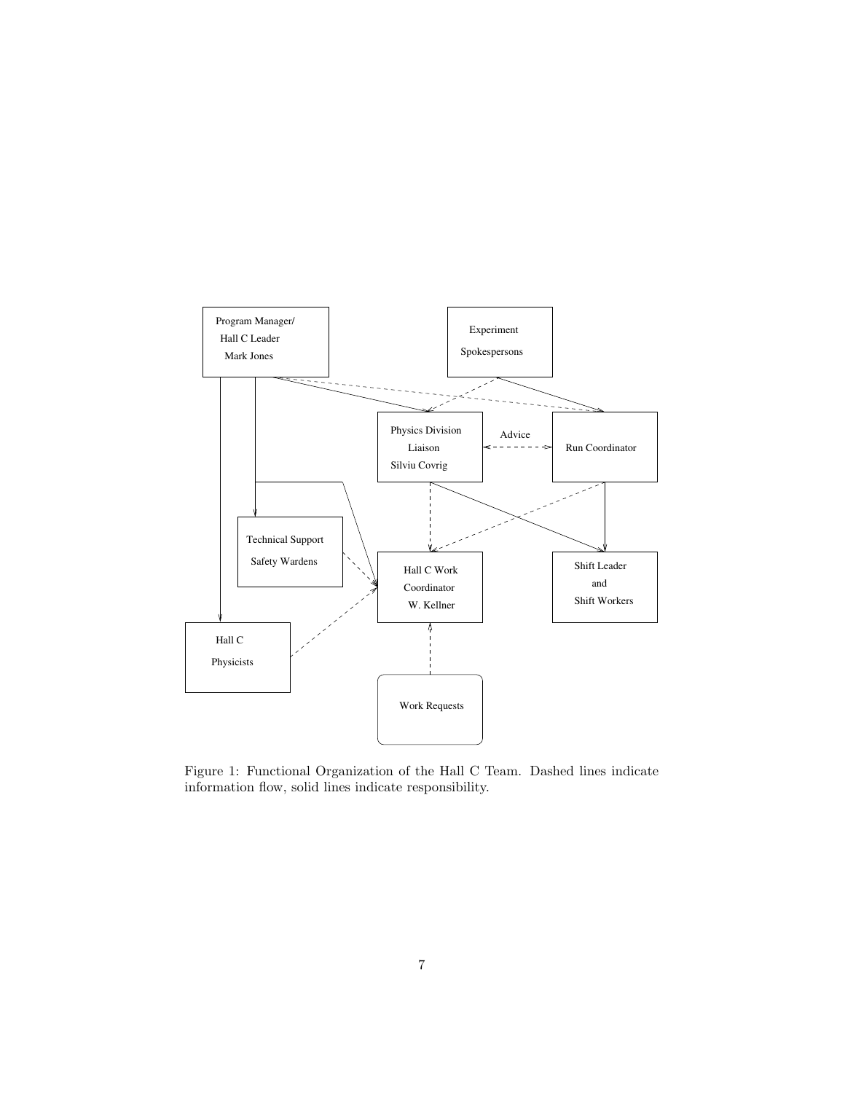

<span id="page-6-0"></span>Figure 1: Functional Organization of the Hall C Team. Dashed lines indicate information flow, solid lines indicate responsibility.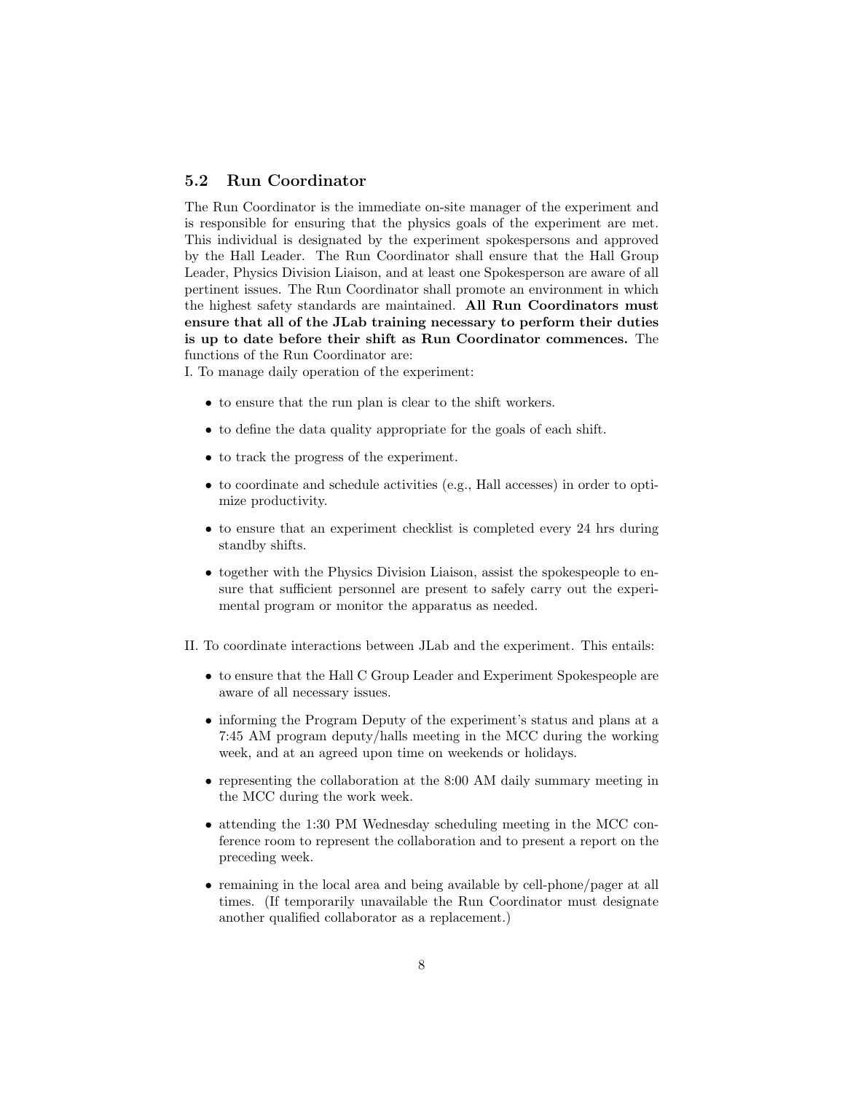### <span id="page-7-0"></span>5.2 Run Coordinator

The Run Coordinator is the immediate on-site manager of the experiment and is responsible for ensuring that the physics goals of the experiment are met. This individual is designated by the experiment spokespersons and approved by the Hall Leader. The Run Coordinator shall ensure that the Hall Group Leader, Physics Division Liaison, and at least one Spokesperson are aware of all pertinent issues. The Run Coordinator shall promote an environment in which the highest safety standards are maintained. All Run Coordinators must ensure that all of the JLab training necessary to perform their duties is up to date before their shift as Run Coordinator commences. The functions of the Run Coordinator are:

I. To manage daily operation of the experiment:

- to ensure that the run plan is clear to the shift workers.
- to define the data quality appropriate for the goals of each shift.
- to track the progress of the experiment.
- to coordinate and schedule activities (e.g., Hall accesses) in order to optimize productivity.
- to ensure that an experiment checklist is completed every 24 hrs during standby shifts.
- together with the Physics Division Liaison, assist the spokespeople to ensure that sufficient personnel are present to safely carry out the experimental program or monitor the apparatus as needed.
- II. To coordinate interactions between JLab and the experiment. This entails:
	- to ensure that the Hall C Group Leader and Experiment Spokespeople are aware of all necessary issues.
	- informing the Program Deputy of the experiment's status and plans at a 7:45 AM program deputy/halls meeting in the MCC during the working week, and at an agreed upon time on weekends or holidays.
	- representing the collaboration at the 8:00 AM daily summary meeting in the MCC during the work week.
	- attending the 1:30 PM Wednesday scheduling meeting in the MCC conference room to represent the collaboration and to present a report on the preceding week.
	- remaining in the local area and being available by cell-phone/pager at all times. (If temporarily unavailable the Run Coordinator must designate another qualified collaborator as a replacement.)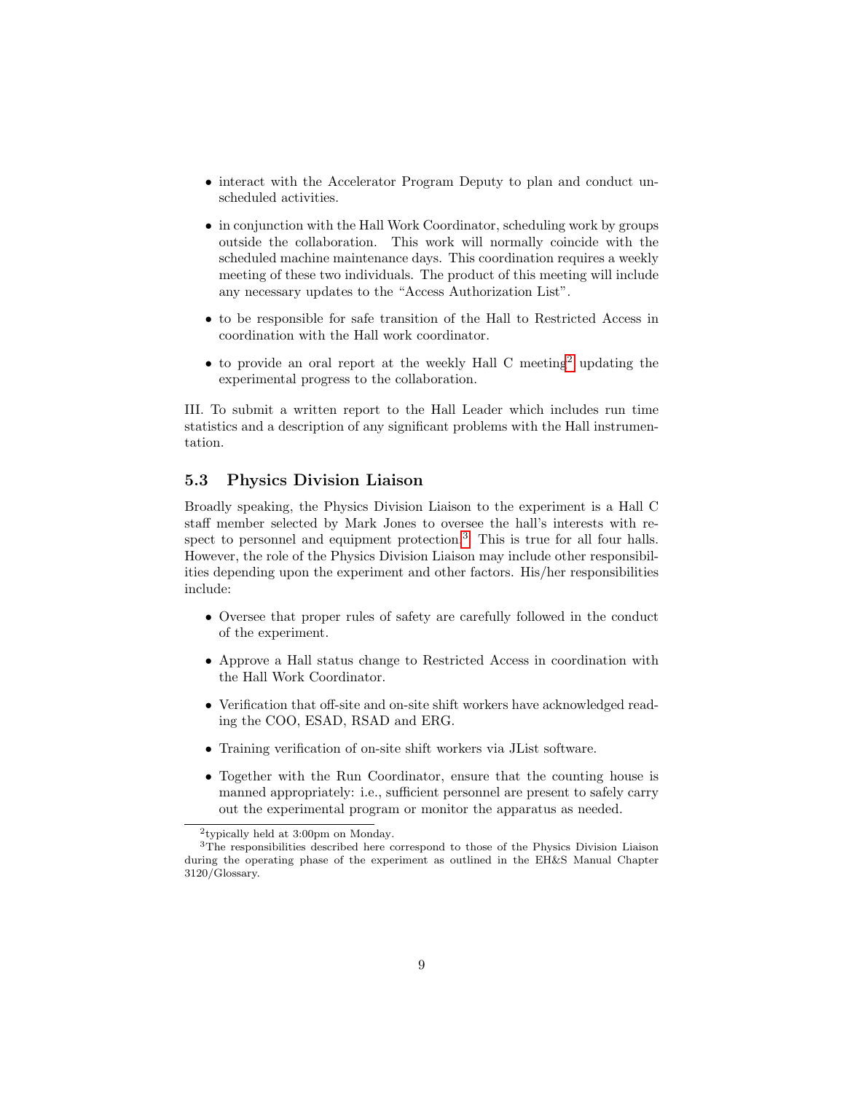- interact with the Accelerator Program Deputy to plan and conduct unscheduled activities.
- in conjunction with the Hall Work Coordinator, scheduling work by groups outside the collaboration. This work will normally coincide with the scheduled machine maintenance days. This coordination requires a weekly meeting of these two individuals. The product of this meeting will include any necessary updates to the "Access Authorization List".
- to be responsible for safe transition of the Hall to Restricted Access in coordination with the Hall work coordinator.
- $\bullet$  to provide an oral report at the weekly Hall C meeting<sup>[2](#page-8-1)</sup> updating the experimental progress to the collaboration.

III. To submit a written report to the Hall Leader which includes run time statistics and a description of any significant problems with the Hall instrumentation.

### <span id="page-8-0"></span>5.3 Physics Division Liaison

Broadly speaking, the Physics Division Liaison to the experiment is a Hall C staff member selected by Mark Jones to oversee the hall's interests with re-spect to personnel and equipment protection.<sup>[3](#page-8-2)</sup> This is true for all four halls. However, the role of the Physics Division Liaison may include other responsibilities depending upon the experiment and other factors. His/her responsibilities include:

- Oversee that proper rules of safety are carefully followed in the conduct of the experiment.
- Approve a Hall status change to Restricted Access in coordination with the Hall Work Coordinator.
- Verification that off-site and on-site shift workers have acknowledged reading the COO, ESAD, RSAD and ERG.
- Training verification of on-site shift workers via JList software.
- Together with the Run Coordinator, ensure that the counting house is manned appropriately: i.e., sufficient personnel are present to safely carry out the experimental program or monitor the apparatus as needed.

<span id="page-8-2"></span><span id="page-8-1"></span><sup>2</sup> typically held at 3:00pm on Monday.

<sup>&</sup>lt;sup>3</sup>The responsibilities described here correspond to those of the Physics Division Liaison during the operating phase of the experiment as outlined in the EH&S Manual Chapter 3120/Glossary.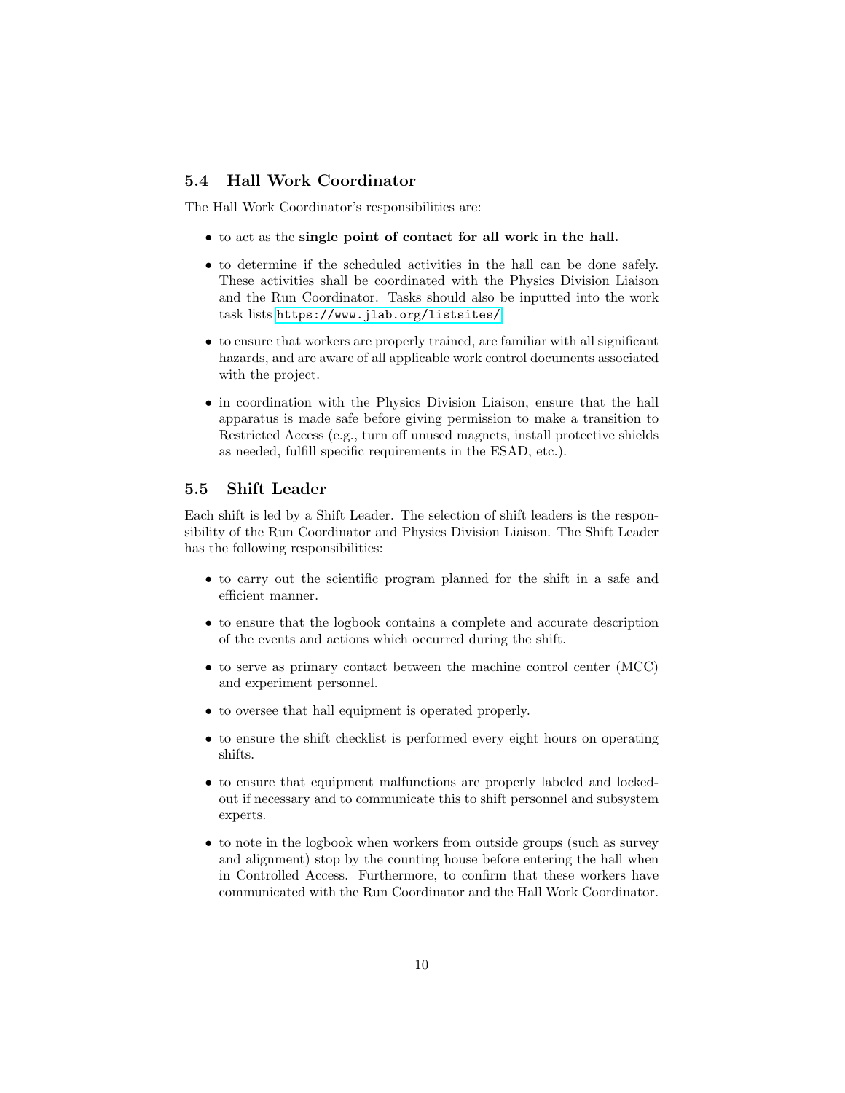### <span id="page-9-0"></span>5.4 Hall Work Coordinator

The Hall Work Coordinator's responsibilities are:

- to act as the single point of contact for all work in the hall.
- to determine if the scheduled activities in the hall can be done safely. These activities shall be coordinated with the Physics Division Liaison and the Run Coordinator. Tasks should also be inputted into the work task lists <https://www.jlab.org/listsites/>.
- to ensure that workers are properly trained, are familiar with all significant hazards, and are aware of all applicable work control documents associated with the project.
- in coordination with the Physics Division Liaison, ensure that the hall apparatus is made safe before giving permission to make a transition to Restricted Access (e.g., turn off unused magnets, install protective shields as needed, fulfill specific requirements in the ESAD, etc.).

#### <span id="page-9-1"></span>5.5 Shift Leader

Each shift is led by a Shift Leader. The selection of shift leaders is the responsibility of the Run Coordinator and Physics Division Liaison. The Shift Leader has the following responsibilities:

- to carry out the scientific program planned for the shift in a safe and efficient manner.
- to ensure that the logbook contains a complete and accurate description of the events and actions which occurred during the shift.
- to serve as primary contact between the machine control center (MCC) and experiment personnel.
- to oversee that hall equipment is operated properly.
- to ensure the shift checklist is performed every eight hours on operating shifts.
- to ensure that equipment malfunctions are properly labeled and lockedout if necessary and to communicate this to shift personnel and subsystem experts.
- to note in the logbook when workers from outside groups (such as survey and alignment) stop by the counting house before entering the hall when in Controlled Access. Furthermore, to confirm that these workers have communicated with the Run Coordinator and the Hall Work Coordinator.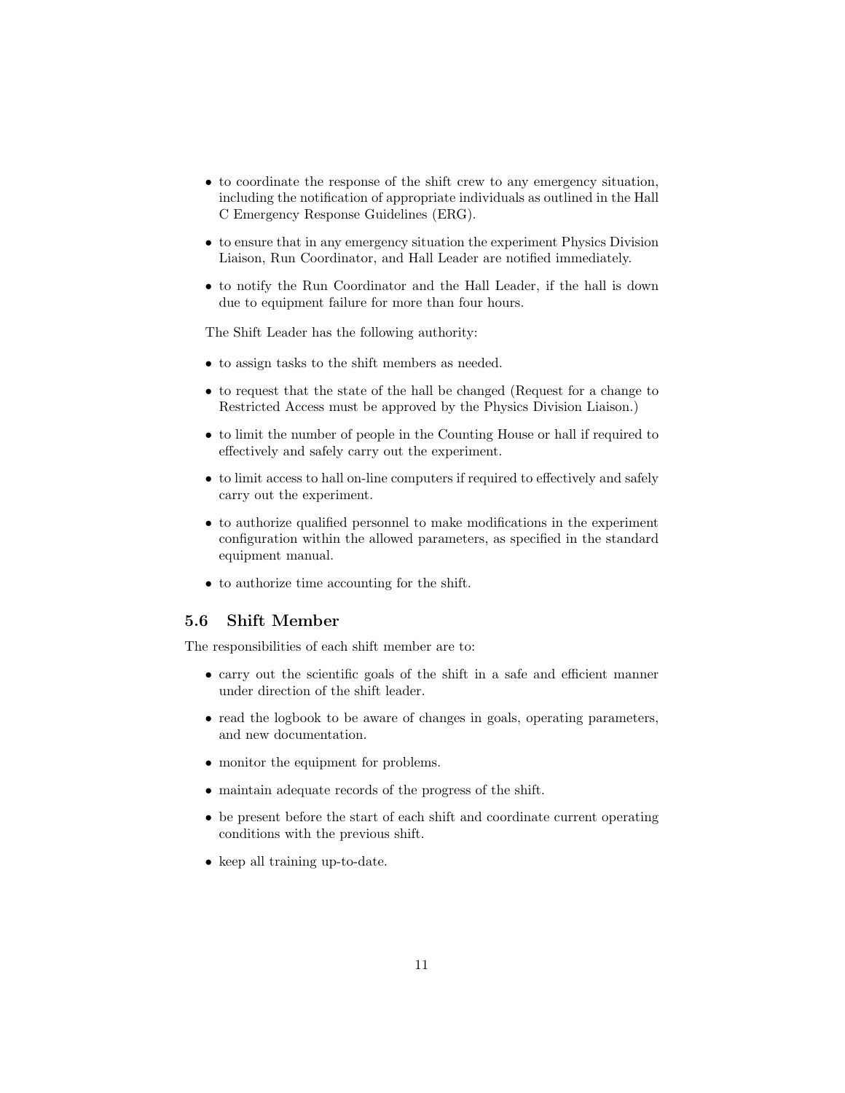- to coordinate the response of the shift crew to any emergency situation, including the notification of appropriate individuals as outlined in the Hall C Emergency Response Guidelines (ERG).
- to ensure that in any emergency situation the experiment Physics Division Liaison, Run Coordinator, and Hall Leader are notified immediately.
- to notify the Run Coordinator and the Hall Leader, if the hall is down due to equipment failure for more than four hours.

The Shift Leader has the following authority:

- to assign tasks to the shift members as needed.
- to request that the state of the hall be changed (Request for a change to Restricted Access must be approved by the Physics Division Liaison.)
- to limit the number of people in the Counting House or hall if required to effectively and safely carry out the experiment.
- to limit access to hall on-line computers if required to effectively and safely carry out the experiment.
- to authorize qualified personnel to make modifications in the experiment configuration within the allowed parameters, as specified in the standard equipment manual.
- to authorize time accounting for the shift.

#### <span id="page-10-0"></span>5.6 Shift Member

The responsibilities of each shift member are to:

- carry out the scientific goals of the shift in a safe and efficient manner under direction of the shift leader.
- read the logbook to be aware of changes in goals, operating parameters, and new documentation.
- monitor the equipment for problems.
- maintain adequate records of the progress of the shift.
- be present before the start of each shift and coordinate current operating conditions with the previous shift.
- keep all training up-to-date.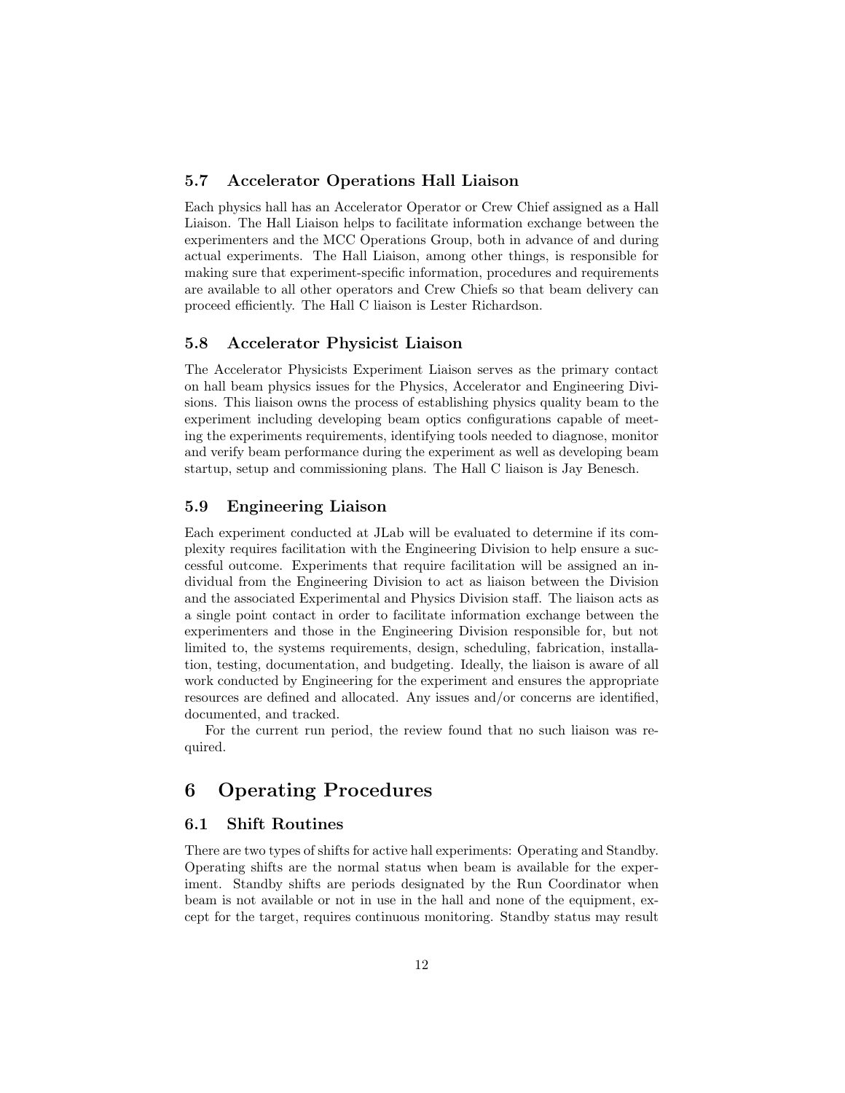#### <span id="page-11-0"></span>5.7 Accelerator Operations Hall Liaison

Each physics hall has an Accelerator Operator or Crew Chief assigned as a Hall Liaison. The Hall Liaison helps to facilitate information exchange between the experimenters and the MCC Operations Group, both in advance of and during actual experiments. The Hall Liaison, among other things, is responsible for making sure that experiment-specific information, procedures and requirements are available to all other operators and Crew Chiefs so that beam delivery can proceed efficiently. The Hall C liaison is Lester Richardson.

#### <span id="page-11-1"></span>5.8 Accelerator Physicist Liaison

The Accelerator Physicists Experiment Liaison serves as the primary contact on hall beam physics issues for the Physics, Accelerator and Engineering Divisions. This liaison owns the process of establishing physics quality beam to the experiment including developing beam optics configurations capable of meeting the experiments requirements, identifying tools needed to diagnose, monitor and verify beam performance during the experiment as well as developing beam startup, setup and commissioning plans. The Hall C liaison is Jay Benesch.

#### <span id="page-11-2"></span>5.9 Engineering Liaison

Each experiment conducted at JLab will be evaluated to determine if its complexity requires facilitation with the Engineering Division to help ensure a successful outcome. Experiments that require facilitation will be assigned an individual from the Engineering Division to act as liaison between the Division and the associated Experimental and Physics Division staff. The liaison acts as a single point contact in order to facilitate information exchange between the experimenters and those in the Engineering Division responsible for, but not limited to, the systems requirements, design, scheduling, fabrication, installation, testing, documentation, and budgeting. Ideally, the liaison is aware of all work conducted by Engineering for the experiment and ensures the appropriate resources are defined and allocated. Any issues and/or concerns are identified, documented, and tracked.

For the current run period, the review found that no such liaison was required.

# <span id="page-11-3"></span>6 Operating Procedures

#### <span id="page-11-4"></span>6.1 Shift Routines

There are two types of shifts for active hall experiments: Operating and Standby. Operating shifts are the normal status when beam is available for the experiment. Standby shifts are periods designated by the Run Coordinator when beam is not available or not in use in the hall and none of the equipment, except for the target, requires continuous monitoring. Standby status may result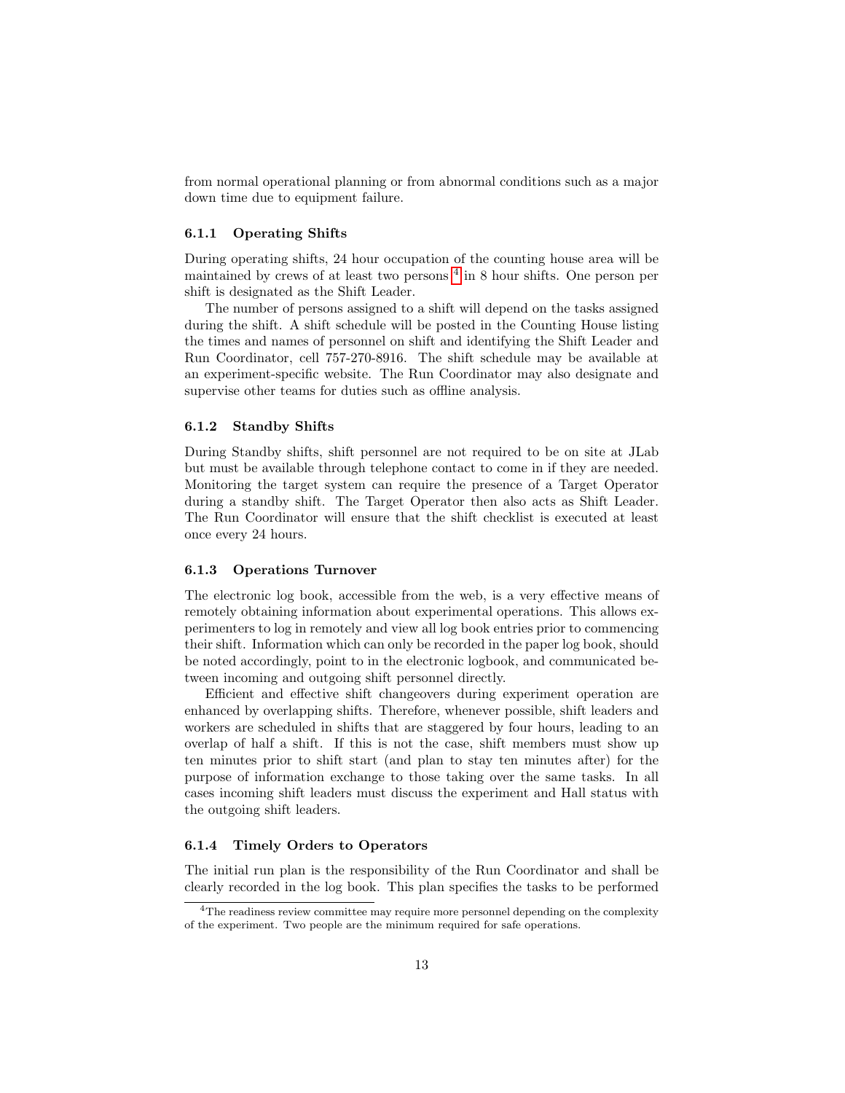from normal operational planning or from abnormal conditions such as a major down time due to equipment failure.

#### <span id="page-12-0"></span>6.1.1 Operating Shifts

During operating shifts, 24 hour occupation of the counting house area will be maintained by crews of at least two persons  $4$  in 8 hour shifts. One person per shift is designated as the Shift Leader.

The number of persons assigned to a shift will depend on the tasks assigned during the shift. A shift schedule will be posted in the Counting House listing the times and names of personnel on shift and identifying the Shift Leader and Run Coordinator, cell 757-270-8916. The shift schedule may be available at an experiment-specific website. The Run Coordinator may also designate and supervise other teams for duties such as offline analysis.

#### <span id="page-12-1"></span>6.1.2 Standby Shifts

During Standby shifts, shift personnel are not required to be on site at JLab but must be available through telephone contact to come in if they are needed. Monitoring the target system can require the presence of a Target Operator during a standby shift. The Target Operator then also acts as Shift Leader. The Run Coordinator will ensure that the shift checklist is executed at least once every 24 hours.

#### <span id="page-12-2"></span>6.1.3 Operations Turnover

The electronic log book, accessible from the web, is a very effective means of remotely obtaining information about experimental operations. This allows experimenters to log in remotely and view all log book entries prior to commencing their shift. Information which can only be recorded in the paper log book, should be noted accordingly, point to in the electronic logbook, and communicated between incoming and outgoing shift personnel directly.

Efficient and effective shift changeovers during experiment operation are enhanced by overlapping shifts. Therefore, whenever possible, shift leaders and workers are scheduled in shifts that are staggered by four hours, leading to an overlap of half a shift. If this is not the case, shift members must show up ten minutes prior to shift start (and plan to stay ten minutes after) for the purpose of information exchange to those taking over the same tasks. In all cases incoming shift leaders must discuss the experiment and Hall status with the outgoing shift leaders.

#### <span id="page-12-3"></span>6.1.4 Timely Orders to Operators

The initial run plan is the responsibility of the Run Coordinator and shall be clearly recorded in the log book. This plan specifies the tasks to be performed

<span id="page-12-4"></span><sup>&</sup>lt;sup>4</sup>The readiness review committee may require more personnel depending on the complexity of the experiment. Two people are the minimum required for safe operations.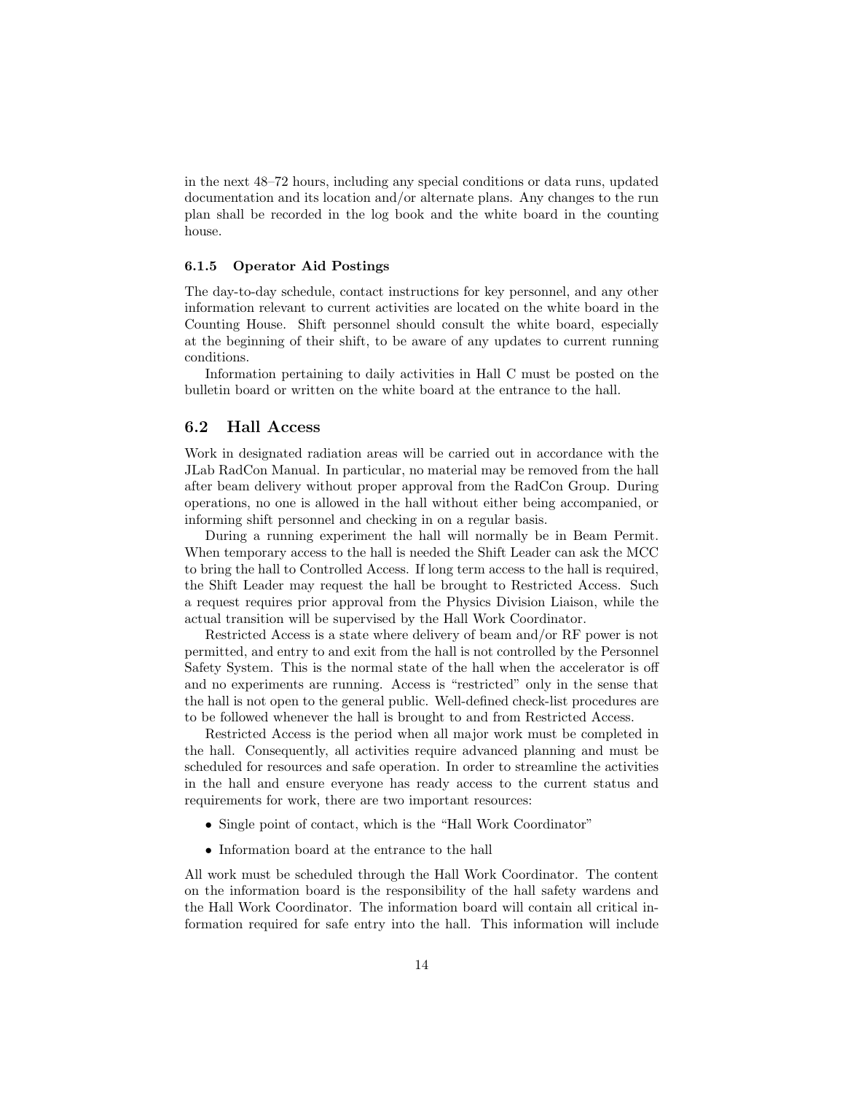in the next 48–72 hours, including any special conditions or data runs, updated documentation and its location and/or alternate plans. Any changes to the run plan shall be recorded in the log book and the white board in the counting house.

#### <span id="page-13-0"></span>6.1.5 Operator Aid Postings

The day-to-day schedule, contact instructions for key personnel, and any other information relevant to current activities are located on the white board in the Counting House. Shift personnel should consult the white board, especially at the beginning of their shift, to be aware of any updates to current running conditions.

Information pertaining to daily activities in Hall C must be posted on the bulletin board or written on the white board at the entrance to the hall.

#### <span id="page-13-1"></span>6.2 Hall Access

Work in designated radiation areas will be carried out in accordance with the JLab RadCon Manual. In particular, no material may be removed from the hall after beam delivery without proper approval from the RadCon Group. During operations, no one is allowed in the hall without either being accompanied, or informing shift personnel and checking in on a regular basis.

During a running experiment the hall will normally be in Beam Permit. When temporary access to the hall is needed the Shift Leader can ask the MCC to bring the hall to Controlled Access. If long term access to the hall is required, the Shift Leader may request the hall be brought to Restricted Access. Such a request requires prior approval from the Physics Division Liaison, while the actual transition will be supervised by the Hall Work Coordinator.

Restricted Access is a state where delivery of beam and/or RF power is not permitted, and entry to and exit from the hall is not controlled by the Personnel Safety System. This is the normal state of the hall when the accelerator is off and no experiments are running. Access is "restricted" only in the sense that the hall is not open to the general public. Well-defined check-list procedures are to be followed whenever the hall is brought to and from Restricted Access.

Restricted Access is the period when all major work must be completed in the hall. Consequently, all activities require advanced planning and must be scheduled for resources and safe operation. In order to streamline the activities in the hall and ensure everyone has ready access to the current status and requirements for work, there are two important resources:

- Single point of contact, which is the "Hall Work Coordinator"
- Information board at the entrance to the hall

All work must be scheduled through the Hall Work Coordinator. The content on the information board is the responsibility of the hall safety wardens and the Hall Work Coordinator. The information board will contain all critical information required for safe entry into the hall. This information will include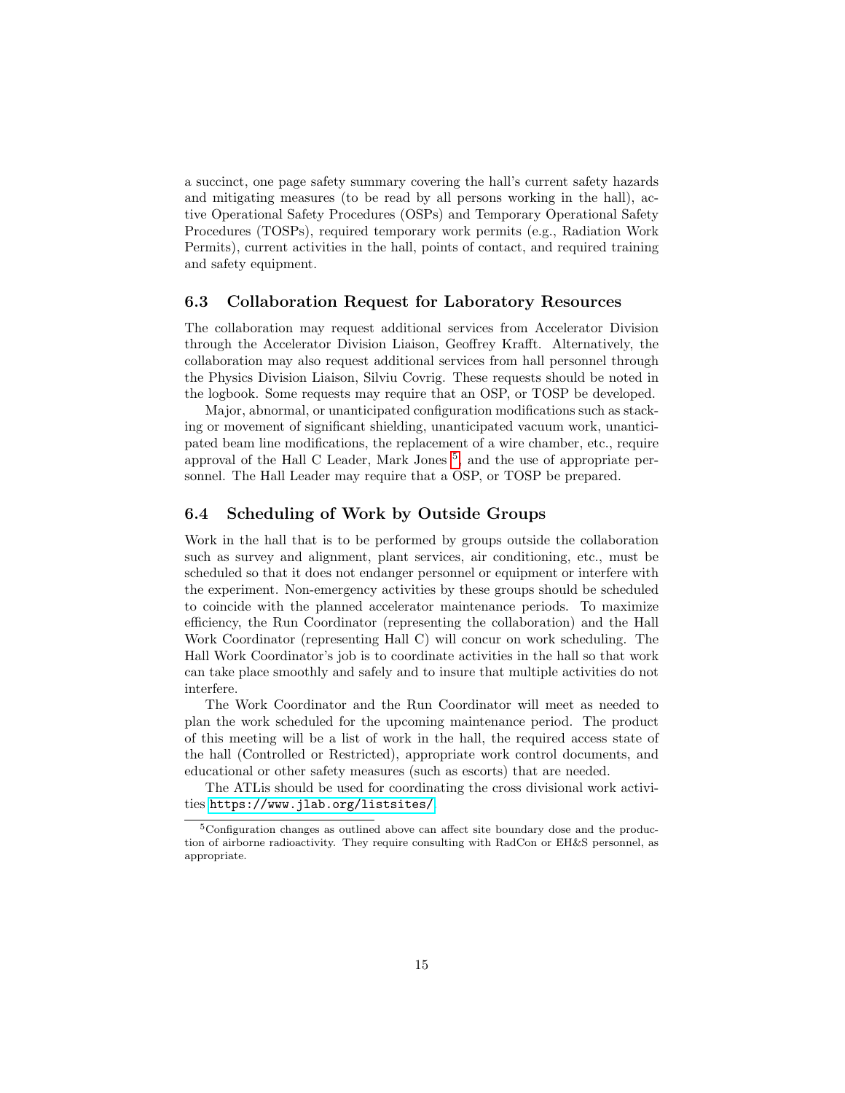a succinct, one page safety summary covering the hall's current safety hazards and mitigating measures (to be read by all persons working in the hall), active Operational Safety Procedures (OSPs) and Temporary Operational Safety Procedures (TOSPs), required temporary work permits (e.g., Radiation Work Permits), current activities in the hall, points of contact, and required training and safety equipment.

#### <span id="page-14-0"></span>6.3 Collaboration Request for Laboratory Resources

The collaboration may request additional services from Accelerator Division through the Accelerator Division Liaison, Geoffrey Krafft. Alternatively, the collaboration may also request additional services from hall personnel through the Physics Division Liaison, Silviu Covrig. These requests should be noted in the logbook. Some requests may require that an OSP, or TOSP be developed.

Major, abnormal, or unanticipated configuration modifications such as stacking or movement of significant shielding, unanticipated vacuum work, unanticipated beam line modifications, the replacement of a wire chamber, etc., require approval of the Hall C Leader, Mark Jones [5](#page-14-2) , and the use of appropriate personnel. The Hall Leader may require that a OSP, or TOSP be prepared.

### <span id="page-14-1"></span>6.4 Scheduling of Work by Outside Groups

Work in the hall that is to be performed by groups outside the collaboration such as survey and alignment, plant services, air conditioning, etc., must be scheduled so that it does not endanger personnel or equipment or interfere with the experiment. Non-emergency activities by these groups should be scheduled to coincide with the planned accelerator maintenance periods. To maximize efficiency, the Run Coordinator (representing the collaboration) and the Hall Work Coordinator (representing Hall C) will concur on work scheduling. The Hall Work Coordinator's job is to coordinate activities in the hall so that work can take place smoothly and safely and to insure that multiple activities do not interfere.

The Work Coordinator and the Run Coordinator will meet as needed to plan the work scheduled for the upcoming maintenance period. The product of this meeting will be a list of work in the hall, the required access state of the hall (Controlled or Restricted), appropriate work control documents, and educational or other safety measures (such as escorts) that are needed.

The ATLis should be used for coordinating the cross divisional work activities <https://www.jlab.org/listsites/>.

<span id="page-14-2"></span><sup>5</sup>Configuration changes as outlined above can affect site boundary dose and the production of airborne radioactivity. They require consulting with RadCon or EH&S personnel, as appropriate.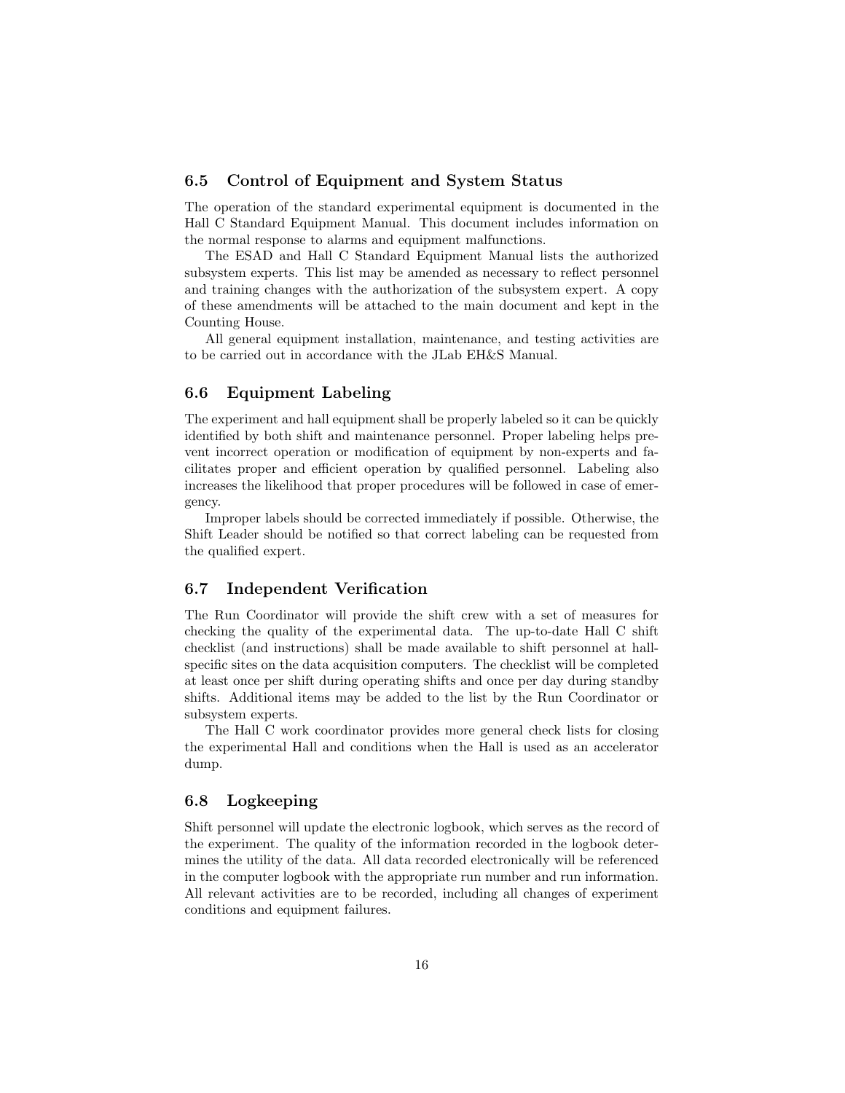#### <span id="page-15-0"></span>6.5 Control of Equipment and System Status

The operation of the standard experimental equipment is documented in the Hall C Standard Equipment Manual. This document includes information on the normal response to alarms and equipment malfunctions.

The ESAD and Hall C Standard Equipment Manual lists the authorized subsystem experts. This list may be amended as necessary to reflect personnel and training changes with the authorization of the subsystem expert. A copy of these amendments will be attached to the main document and kept in the Counting House.

All general equipment installation, maintenance, and testing activities are to be carried out in accordance with the JLab EH&S Manual.

### <span id="page-15-1"></span>6.6 Equipment Labeling

The experiment and hall equipment shall be properly labeled so it can be quickly identified by both shift and maintenance personnel. Proper labeling helps prevent incorrect operation or modification of equipment by non-experts and facilitates proper and efficient operation by qualified personnel. Labeling also increases the likelihood that proper procedures will be followed in case of emergency.

Improper labels should be corrected immediately if possible. Otherwise, the Shift Leader should be notified so that correct labeling can be requested from the qualified expert.

#### <span id="page-15-2"></span>6.7 Independent Verification

The Run Coordinator will provide the shift crew with a set of measures for checking the quality of the experimental data. The up-to-date Hall C shift checklist (and instructions) shall be made available to shift personnel at hallspecific sites on the data acquisition computers. The checklist will be completed at least once per shift during operating shifts and once per day during standby shifts. Additional items may be added to the list by the Run Coordinator or subsystem experts.

The Hall C work coordinator provides more general check lists for closing the experimental Hall and conditions when the Hall is used as an accelerator dump.

### <span id="page-15-3"></span>6.8 Logkeeping

Shift personnel will update the electronic logbook, which serves as the record of the experiment. The quality of the information recorded in the logbook determines the utility of the data. All data recorded electronically will be referenced in the computer logbook with the appropriate run number and run information. All relevant activities are to be recorded, including all changes of experiment conditions and equipment failures.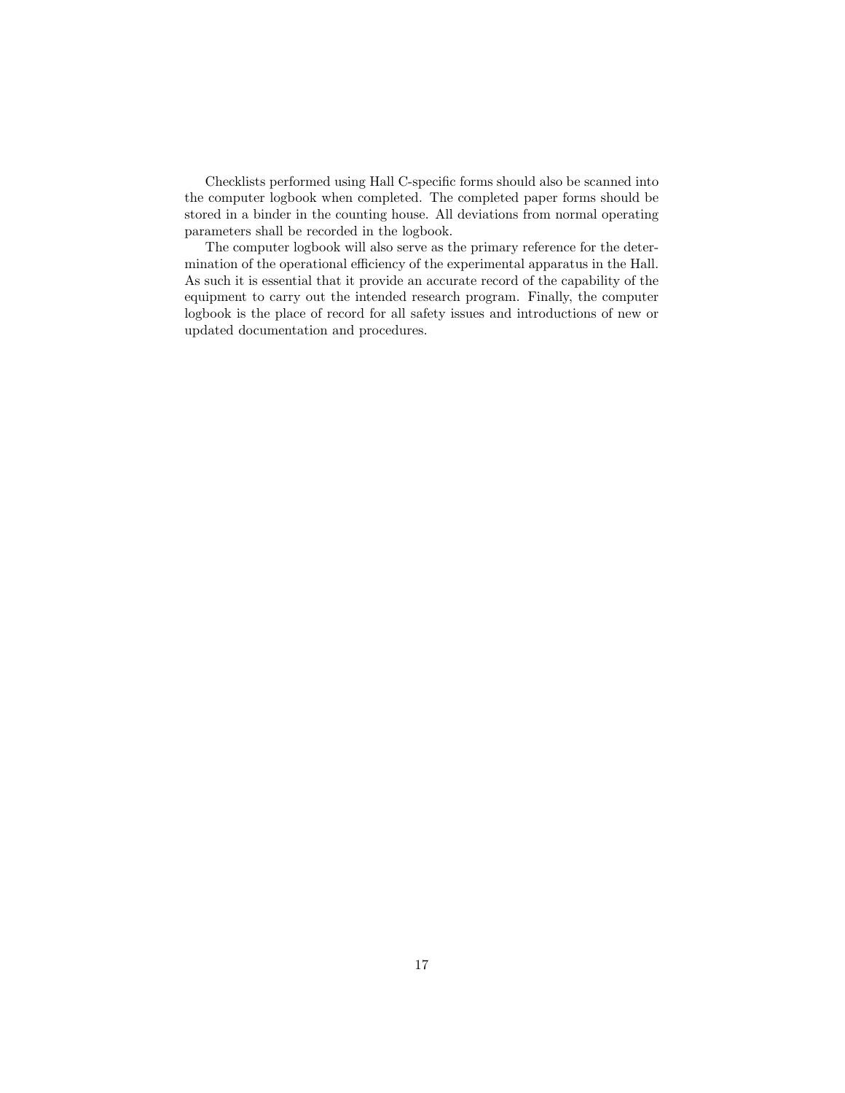Checklists performed using Hall C-specific forms should also be scanned into the computer logbook when completed. The completed paper forms should be stored in a binder in the counting house. All deviations from normal operating parameters shall be recorded in the logbook.

The computer logbook will also serve as the primary reference for the determination of the operational efficiency of the experimental apparatus in the Hall. As such it is essential that it provide an accurate record of the capability of the equipment to carry out the intended research program. Finally, the computer logbook is the place of record for all safety issues and introductions of new or updated documentation and procedures.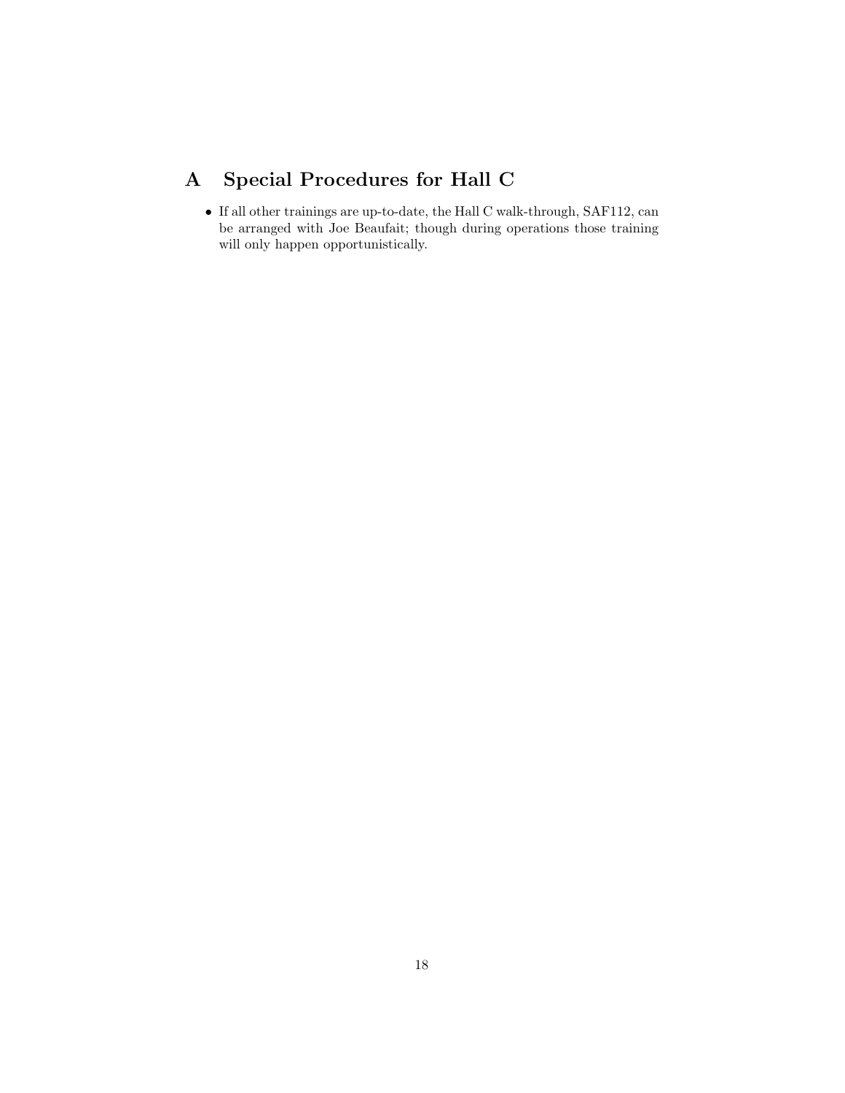# <span id="page-17-0"></span>A Special Procedures for Hall C

• If all other trainings are up-to-date, the Hall C walk-through, SAF112, can be arranged with Joe Beaufait; though during operations those training will only happen opportunistically.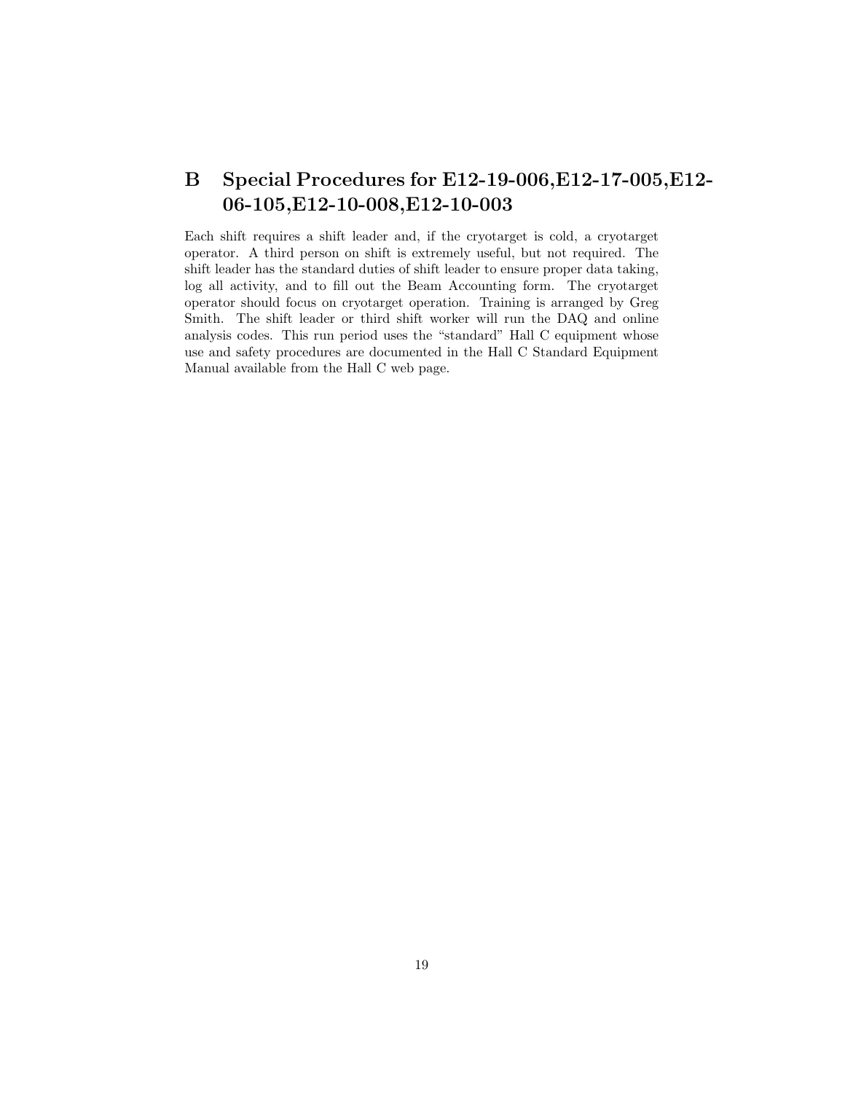# <span id="page-18-0"></span>B Special Procedures for E12-19-006,E12-17-005,E12- 06-105,E12-10-008,E12-10-003

Each shift requires a shift leader and, if the cryotarget is cold, a cryotarget operator. A third person on shift is extremely useful, but not required. The shift leader has the standard duties of shift leader to ensure proper data taking, log all activity, and to fill out the Beam Accounting form. The cryotarget operator should focus on cryotarget operation. Training is arranged by Greg Smith. The shift leader or third shift worker will run the DAQ and online analysis codes. This run period uses the "standard" Hall C equipment whose use and safety procedures are documented in the Hall C Standard Equipment Manual available from the Hall C web page.